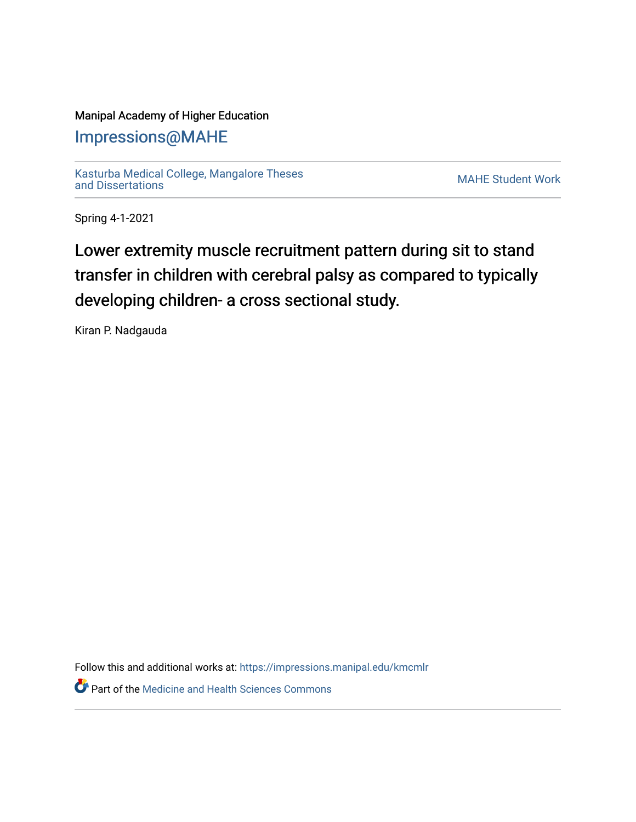## Manipal Academy of Higher Education

[Impressions@MAHE](https://impressions.manipal.edu/)

[Kasturba Medical College, Mangalore Theses](https://impressions.manipal.edu/kmcmlr) [and Dissertations](https://impressions.manipal.edu/kmcmlr) [MAHE Student Work](https://impressions.manipal.edu/student-work) 

Spring 4-1-2021

Lower extremity muscle recruitment pattern during sit to stand transfer in children with cerebral palsy as compared to typically developing children- a cross sectional study.

Kiran P. Nadgauda

Follow this and additional works at: [https://impressions.manipal.edu/kmcmlr](https://impressions.manipal.edu/kmcmlr?utm_source=impressions.manipal.edu%2Fkmcmlr%2F71&utm_medium=PDF&utm_campaign=PDFCoverPages) 

**P** Part of the Medicine and Health Sciences Commons